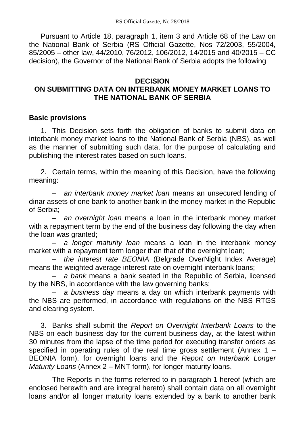Pursuant to Article 18, paragraph 1, item 3 and Article 68 of the Law on the National Bank of Serbia (RS Official Gazette, Nos 72/2003, 55/2004, 85/2005 – other law, 44/2010, 76/2012, 106/2012, 14/2015 and 40/2015 – CC decision), the Governor of the National Bank of Serbia adopts the following

### **DECISION**

# **ON SUBMITTING DATA ON INTERBANK MONEY MARKET LOANS TO THE NATIONAL BANK OF SERBIA**

### **Basic provisions**

1. This Decision sets forth the obligation of banks to submit data on interbank money market loans to the National Bank of Serbia (NBS), as well as the manner of submitting such data, for the purpose of calculating and publishing the interest rates based on such loans.

2. Certain terms, within the meaning of this Decision, have the following meaning:

– *an interbank money market loan* means an unsecured lending of dinar assets of one bank to another bank in the money market in the Republic of Serbia;

– *an overnight loan* means a loan in the interbank money market with a repayment term by the end of the business day following the day when the loan was granted;

– *a longer maturity loan* means a loan in the interbank money market with a repayment term longer than that of the overnight loan;

– *the interest rate BEONIA* (Belgrade OverNight Index Average) means the weighted average interest rate on overnight interbank loans;

– *a bank* means a bank seated in the Republic of Serbia, licensed by the NBS, in accordance with the law governing banks;

– *a business day* means a day on which interbank payments with the NBS are performed, in accordance with regulations on the NBS RTGS and clearing system.

3. Banks shall submit the *Report on Overnight Interbank Loans* to the NBS on each business day for the current business day, at the latest within 30 minutes from the lapse of the time period for executing transfer orders as specified in operating rules of the real time gross settlement (Annex 1 – BEONIA form), for overnight loans and the *Report on Interbank Longer Maturity Loans* (Annex 2 – MNT form), for longer maturity loans.

The Reports in the forms referred to in paragraph 1 hereof (which are enclosed herewith and are integral hereto) shall contain data on all overnight loans and/or all longer maturity loans extended by a bank to another bank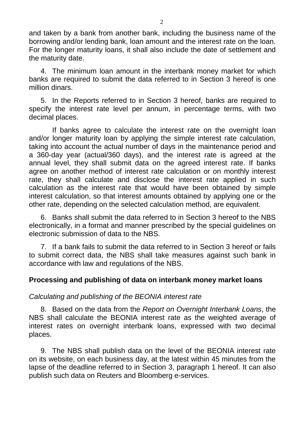and taken by a bank from another bank, including the business name of the borrowing and/or lending bank, loan amount and the interest rate on the loan. For the longer maturity loans, it shall also include the date of settlement and the maturity date.

4. The minimum loan amount in the interbank money market for which banks are required to submit the data referred to in Section 3 hereof is one million dinars.

5. In the Reports referred to in Section 3 hereof, banks are required to specify the interest rate level per annum, in percentage terms, with two decimal places.

If banks agree to calculate the interest rate on the overnight loan and/or longer maturity loan by applying the simple interest rate calculation, taking into account the actual number of days in the maintenance period and a 360-day year (actual/360 days), and the interest rate is agreed at the annual level, they shall submit data on the agreed interest rate. If banks agree on another method of interest rate calculation or on monthly interest rate, they shall calculate and disclose the interest rate applied in such calculation as the interest rate that would have been obtained by simple interest calculation, so that interest amounts obtained by applying one or the other rate, depending on the selected calculation method, are equivalent.

6. Banks shall submit the data referred to in Section 3 hereof to the NBS electronically, in a format and manner prescribed by the special guidelines on electronic submission of data to the NBS.

7. If a bank fails to submit the data referred to in Section 3 hereof or fails to submit correct data, the NBS shall take measures against such bank in accordance with law and regulations of the NBS.

# **Processing and publishing of data on interbank money market loans**

# *Calculating and publishing of the BEONIA interest rate*

8. Based on the data from the *Report on Overnight Interbank Loans*, the NBS shall calculate the BEONIA interest rate as the weighted average of interest rates on overnight interbank loans, expressed with two decimal places.

9. The NBS shall publish data on the level of the BEONIA interest rate on its website, on each business day, at the latest within 45 minutes from the lapse of the deadline referred to in Section 3, paragraph 1 hereof. It can also publish such data on Reuters and Bloomberg e-services.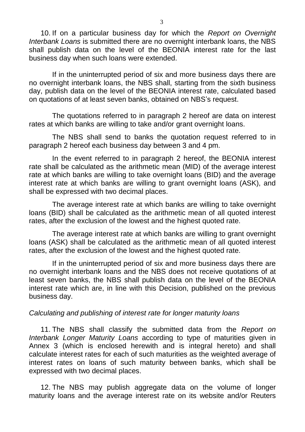10. If on a particular business day for which the *Report on Overnight Interbank Loans* is submitted there are no overnight interbank loans, the NBS shall publish data on the level of the BEONIA interest rate for the last business day when such loans were extended.

If in the uninterrupted period of six and more business days there are no overnight interbank loans, the NBS shall, starting from the sixth business day, publish data on the level of the BEONIA interest rate, calculated based on quotations of at least seven banks, obtained on NBS's request.

The quotations referred to in paragraph 2 hereof are data on interest rates at which banks are willing to take and/or grant overnight loans.

The NBS shall send to banks the quotation request referred to in paragraph 2 hereof each business day between 3 and 4 pm.

In the event referred to in paragraph 2 hereof, the BEONIA interest rate shall be calculated as the arithmetic mean (MID) of the average interest rate at which banks are willing to take overnight loans (BID) and the average interest rate at which banks are willing to grant overnight loans (ASK), and shall be expressed with two decimal places.

The average interest rate at which banks are willing to take overnight loans (BID) shall be calculated as the arithmetic mean of all quoted interest rates, after the exclusion of the lowest and the highest quoted rate.

The average interest rate at which banks are willing to grant overnight loans (ASK) shall be calculated as the arithmetic mean of all quoted interest rates, after the exclusion of the lowest and the highest quoted rate.

If in the uninterrupted period of six and more business days there are no overnight interbank loans and the NBS does not receive quotations of at least seven banks, the NBS shall publish data on the level of the BEONIA interest rate which are, in line with this Decision, published on the previous business day.

#### *Calculating and publishing of interest rate for longer maturity loans*

11. The NBS shall classify the submitted data from the *Report on Interbank Longer Maturity Loans* according to type of maturities given in Annex 3 (which is enclosed herewith and is integral hereto) and shall calculate interest rates for each of such maturities as the weighted average of interest rates on loans of such maturity between banks, which shall be expressed with two decimal places.

12. The NBS may publish aggregate data on the volume of longer maturity loans and the average interest rate on its website and/or Reuters